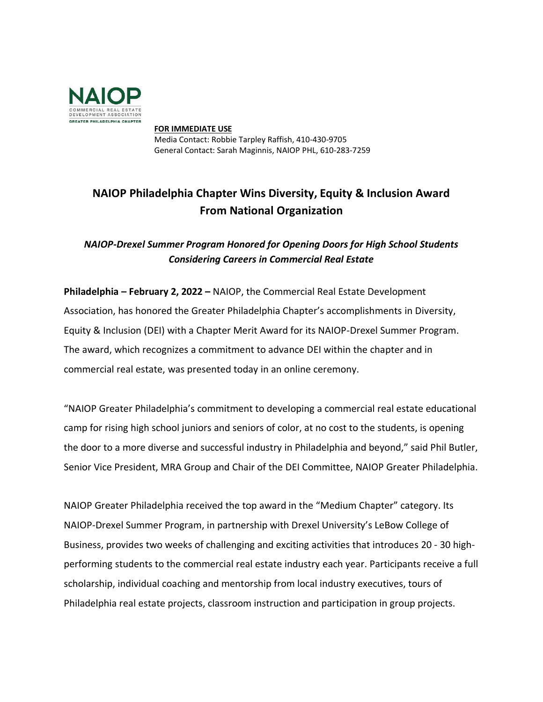

**FOR IMMEDIATE USE** Media Contact: Robbie Tarpley Raffish, 410-430-9705 General Contact: Sarah Maginnis, NAIOP PHL, 610-283-7259

## **NAIOP Philadelphia Chapter Wins Diversity, Equity & Inclusion Award From National Organization**

*NAIOP-Drexel Summer Program Honored for Opening Doors for High School Students Considering Careers in Commercial Real Estate*

**Philadelphia – February 2, 2022 –** NAIOP, the Commercial Real Estate Development Association, has honored the Greater Philadelphia Chapter's accomplishments in Diversity, Equity & Inclusion (DEI) with a Chapter Merit Award for its NAIOP-Drexel Summer Program. The award, which recognizes a commitment to advance DEI within the chapter and in commercial real estate, was presented today in an online ceremony.

"NAIOP Greater Philadelphia's commitment to developing a commercial real estate educational camp for rising high school juniors and seniors of color, at no cost to the students, is opening the door to a more diverse and successful industry in Philadelphia and beyond," said Phil Butler, Senior Vice President, MRA Group and Chair of the DEI Committee, NAIOP Greater Philadelphia.

NAIOP Greater Philadelphia received the top award in the "Medium Chapter" category. Its NAIOP-Drexel Summer Program, in partnership with Drexel University's LeBow College of Business, provides two weeks of challenging and exciting activities that introduces 20 - 30 highperforming students to the commercial real estate industry each year. Participants receive a full scholarship, individual coaching and mentorship from local industry executives, tours of Philadelphia real estate projects, classroom instruction and participation in group projects.